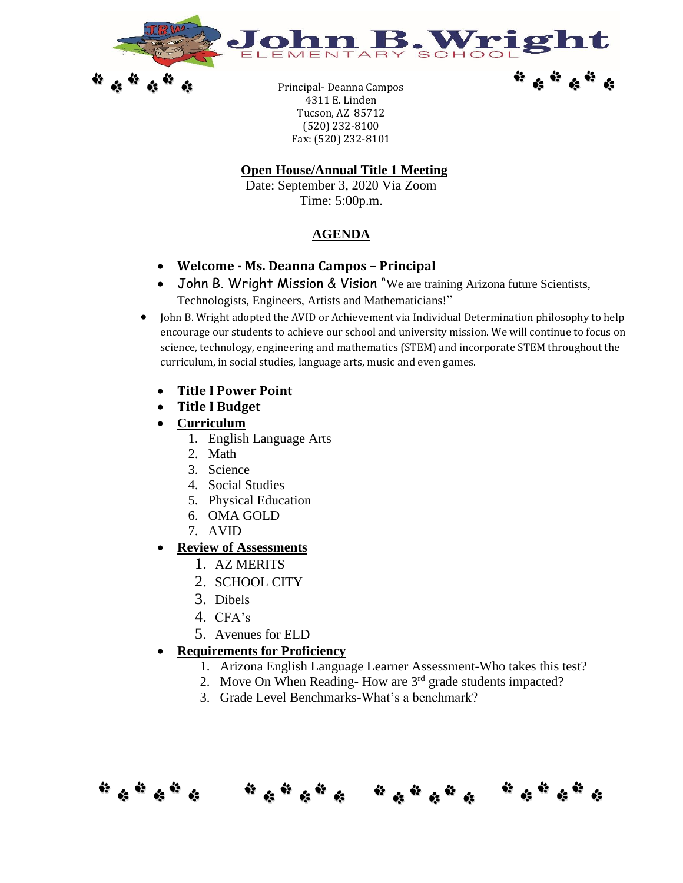



\* \* \* \* \* \*

Principal- Deanna Campos 4311 E. Linden Tucson, AZ 85712 (520) 232-8100 Fax: (520) 232-8101

## **Open House/Annual Title 1 Meeting**

Date: September 3, 2020 Via Zoom Time: 5:00p.m.

## **AGENDA**

- **Welcome - Ms. Deanna Campos – Principal**
- John B. Wright Mission & Vision "We are training Arizona future Scientists, Technologists, Engineers, Artists and Mathematicians!"
- John B. Wright adopted the AVID or Achievement via Individual Determination philosophy to help encourage our students to achieve our school and university mission. We will continue to focus on science, technology, engineering and mathematics (STEM) and incorporate STEM throughout the curriculum, in social studies, language arts, music and even games.
	- **Title I Power Point**
	- **Title I Budget**
	- **Curriculum**
		- 1. English Language Arts
		- 2. Math
		- 3. Science
		- 4. Social Studies
		- 5. Physical Education
		- 6. OMA GOLD
		- 7. AVID

## • **Review of Assessments**

- 1. AZ MERITS
- 2. SCHOOL CITY
- 3. Dibels
- 4. CFA's
- 5. Avenues for ELD
- **Requirements for Proficiency**
	- 1. Arizona English Language Learner Assessment-Who takes this test?
	- 2. Move On When Reading- How are 3<sup>rd</sup> grade students impacted?
	- 3. Grade Level Benchmarks-What's a benchmark?